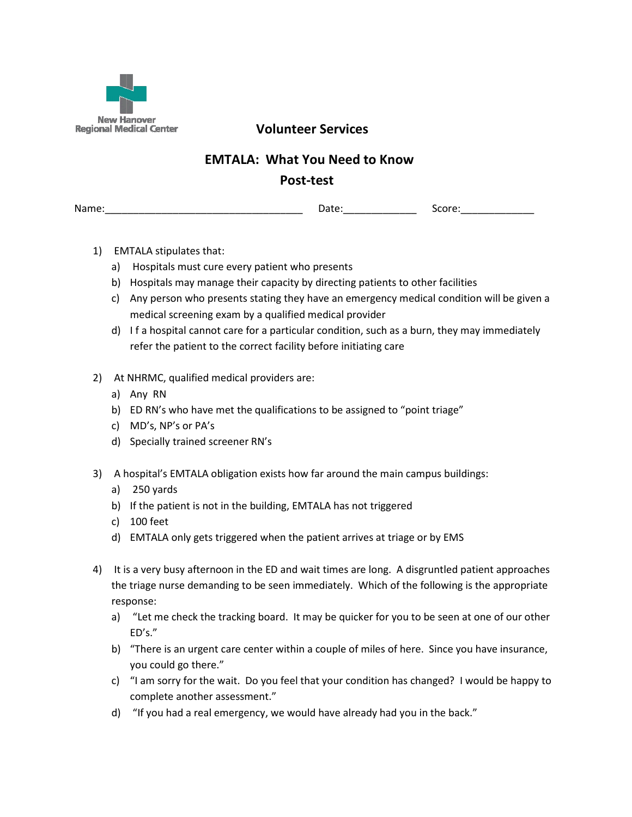

Regional Medical Center **Noting Services** 

## EMTALA: What You Need to Know

## Post-test

Name: The contract of the contract of the Date: the Score:  $\Box$  Score:  $\Box$  Score:  $\Box$  Score:  $\Box$  Score:  $\Box$  Score:  $\Box$  Score:  $\Box$  Score:  $\Box$  Score:  $\Box$  Score:  $\Box$  Score:  $\Box$  Score:  $\Box$  Score:  $\Box$  Score:  $\Box$  Sc

- 1) EMTALA stipulates that:
	- a) Hospitals must cure every patient who presents
	- b) Hospitals may manage their capacity by directing patients to other facilities
	- c) Any person who presents stating they have an emergency medical condition will be given a medical screening exam by a qualified medical provider
	- d) I f a hospital cannot care for a particular condition, such as a burn, they may immediately refer the patient to the correct facility before initiating care
- 2) At NHRMC, qualified medical providers are:
	- a) Any RN
	- b) ED RN's who have met the qualifications to be assigned to "point triage"
	- c) MD's, NP's or PA's
	- d) Specially trained screener RN's
- 3) A hospital's EMTALA obligation exists how far around the main campus buildings:
	- a) 250 yards
	- b) If the patient is not in the building, EMTALA has not triggered
	- c) 100 feet
	- d) EMTALA only gets triggered when the patient arrives at triage or by EMS
- 4) It is a very busy afternoon in the ED and wait times are long. A disgruntled patient approaches the triage nurse demanding to be seen immediately. Which of the following is the appropriate response:
	- a) "Let me check the tracking board. It may be quicker for you to be seen at one of our other ED's."
	- b) "There is an urgent care center within a couple of miles of here. Since you have insurance, you could go there."
	- c) "I am sorry for the wait. Do you feel that your condition has changed? I would be happy to complete another assessment."
	- d) "If you had a real emergency, we would have already had you in the back."